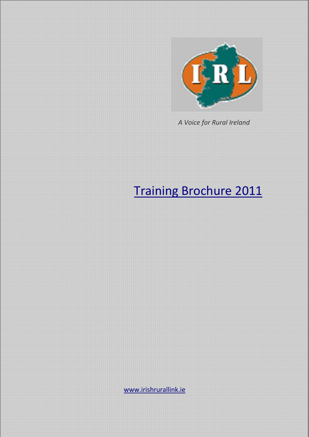

 *A Voice for Rural Ireland* 

# Training Brochure 2011

www.irishrurallink.ie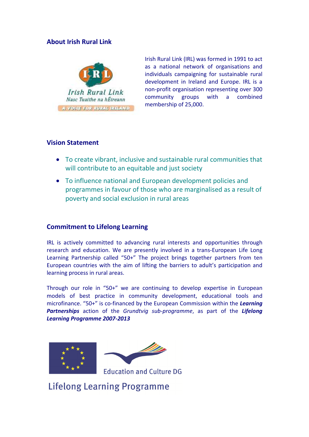#### **About Irish Rural Link**



Irish Rural Link (IRL) was formed in 1991 to act as a national network of organisations and individuals campaigning for sustainable rural development in Ireland and Europe. IRL is a non-profit organisation representing over 300 community groups with a combined membership of 25,000.

#### **Vision Statement**

- To create vibrant, inclusive and sustainable rural communities that will contribute to an equitable and just society
- To influence national and European development policies and programmes in favour of those who are marginalised as a result of poverty and social exclusion in rural areas

#### **Commitment to Lifelong Learning**

IRL is actively committed to advancing rural interests and opportunities through research and education. We are presently involved in a trans-European Life Long Learning Partnership called "50+" The project brings together partners from ten European countries with the aim of lifting the barriers to adult's participation and learning process in rural areas.

Through our role in "50+" we are continuing to develop expertise in European models of best practice in community development, educational tools and microfinance. "50+" is co-financed by the European Commission within the *Learning Partnerships* action of the *Grundtvig sub-programme*, as part of the *Lifelong Learning Programme 2007-2013*





**Education and Culture DG** 

**Lifelong Learning Programme**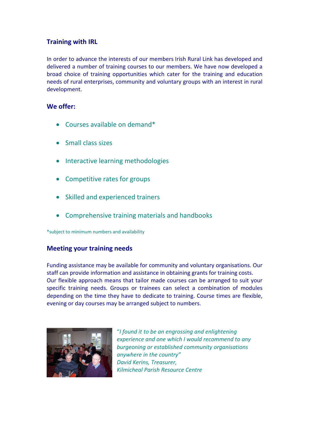### **Training with IRL**

In order to advance the interests of our members Irish Rural Link has developed and delivered a number of training courses to our members. We have now developed a broad choice of training opportunities which cater for the training and education needs of rural enterprises, community and voluntary groups with an interest in rural development.

#### **We offer:**

- Courses available on demand\*
- Small class sizes
- Interactive learning methodologies
- Competitive rates for groups
- Skilled and experienced trainers
- Comprehensive training materials and handbooks

\*subject to minimum numbers and availability

#### **Meeting your training needs**

Funding assistance may be available for community and voluntary organisations. Our staff can provide information and assistance in obtaining grants for training costs. Our flexible approach means that tailor made courses can be arranged to suit your specific training needs. Groups or trainees can select a combination of modules depending on the time they have to dedicate to training. Course times are flexible, evening or day courses may be arranged subject to numbers.



"*I found it to be an engrossing and enlightening experience and one which I would recommend to any burgeoning or established community organisations anywhere in the country" David Kerins, Treasurer, Kilmicheal Parish Resource Centre*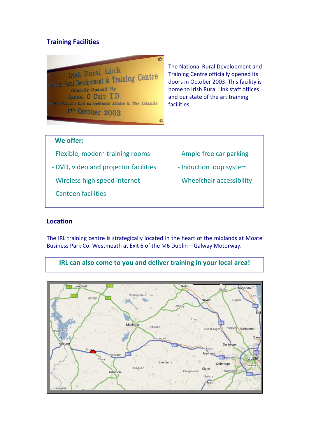# **Training Facilities**

 $\overline{a}$ Irish Rural Link Vational Rural Laws Training Centre Officially Opened By Eamon Ó Cuiv T.D. or Community, Rural and Gaelteacht Affairs & The Islands  $17<sup>th</sup>$  October 2003

The National Rural Development and Training Centre officially opened its doors in October 2003. This facility is home to Irish Rural Link staff offices and our state of the art training facilities.

### **We offer:**

- Flexible, modern training rooms Ample free car parking
- DVD, video and projector facilities Induction loop system
- Wireless high speed internet Wheelchair accessibility
- Canteen facilities
- 
- 
- 

#### **Location**

The IRL training centre is strategically located in the heart of the midlands at Moate Business Park Co. Westmeath at Exit 6 of the M6 Dublin – Galway Motorway.

**IRL can also come to you and deliver training in your local area!** 

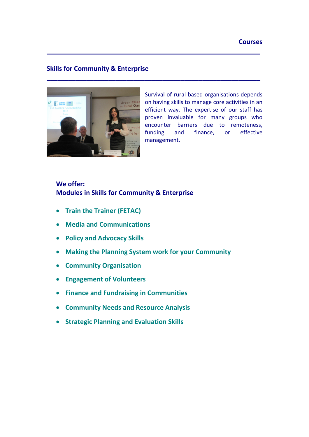#### **Skills for Community & Enterprise**



Survival of rural based organisations depends on having skills to manage core activities in an efficient way. The expertise of our staff has proven invaluable for many groups who encounter barriers due to remoteness, funding and finance, or effective management.

### **We offer: Modules in Skills for Community & Enterprise**

- **Train the Trainer (FETAC)**
- **Media and Communications**
- **Policy and Advocacy Skills**
- **Making the Planning System work for your Community**

**\_\_\_\_\_\_\_\_\_\_\_\_\_\_\_\_\_\_\_\_\_\_\_\_\_\_\_\_\_\_\_\_\_\_\_\_\_\_\_\_\_\_\_\_\_\_\_\_\_\_\_\_\_\_\_\_\_\_\_**

**\_\_\_\_\_\_\_\_\_\_\_\_\_\_\_\_\_\_\_\_\_\_\_\_\_\_\_\_\_\_\_\_\_\_\_\_\_\_\_\_\_\_\_\_\_\_\_\_\_\_\_\_\_\_\_\_\_\_\_** 

- **Community Organisation**
- **Engagement of Volunteers**
- **Finance and Fundraising in Communities**
- **Community Needs and Resource Analysis**
- **Strategic Planning and Evaluation Skills**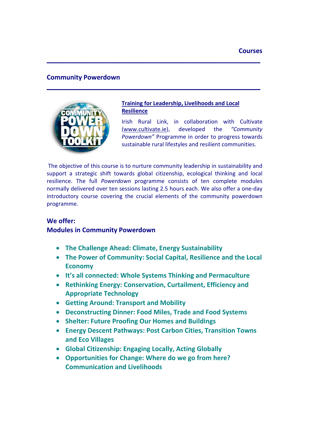#### **Community Powerdown**



#### **Training for Leadership, Livelihoods and Local Resilience**

Irish Rural Link, in collaboration with Cultivate (www.cultivate.ie), developed the *"Community Powerdown"* Programme in order to progress towards sustainable rural lifestyles and resilient communities.

 The objective of this course is to nurture community leadership in sustainability and support a strategic shift towards global citizenship, ecological thinking and local resilience. The full *Powerdown* programme consists of ten complete modules normally delivered over ten sessions lasting 2.5 hours each. We also offer a one-day introductory course covering the crucial elements of the community powerdown programme.

**\_\_\_\_\_\_\_\_\_\_\_\_\_\_\_\_\_\_\_\_\_\_\_\_\_\_\_\_\_\_\_\_\_\_\_\_\_\_\_\_\_\_\_\_\_\_\_\_\_\_\_\_\_\_\_\_\_\_\_**

**\_\_\_\_\_\_\_\_\_\_\_\_\_\_\_\_\_\_\_\_\_\_\_\_\_\_\_\_\_\_\_\_\_\_\_\_\_\_\_\_\_\_\_\_\_\_\_\_\_\_\_\_\_\_\_\_\_\_\_**

### **We offer: Modules in Community Powerdown**

- **The Challenge Ahead: Climate, Energy Sustainability**
- **The Power of Community: Social Capital, Resilience and the Local Economy**
- **It's all connected: Whole Systems Thinking and Permaculture**
- **Rethinking Energy: Conservation, Curtailment, Efficiency and Appropriate Technology**
- **Getting Around: Transport and Mobility**
- **Deconstructing Dinner: Food Miles, Trade and Food Systems**
- **Shelter: Future Proofing Our Homes and Buildings**
- **Energy Descent Pathways: Post Carbon Cities, Transition Towns and Eco Villages**
- **Global Citizenship: Engaging Locally, Acting Globally**
- **Opportunities for Change: Where do we go from here? Communication and Livelihoods**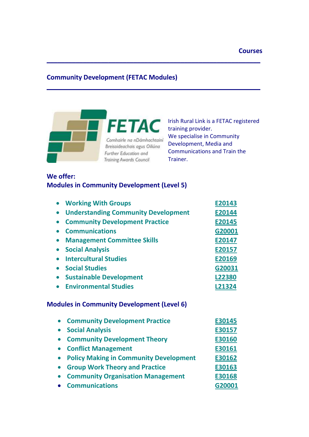# **Community Development (FETAC Modules)**

**\_\_\_\_\_\_\_\_\_\_\_\_\_\_\_\_\_\_\_\_\_\_\_\_\_\_\_\_\_\_\_\_\_\_\_\_\_\_\_\_\_\_\_\_\_\_\_\_\_\_\_\_\_\_\_\_\_\_\_**

**\_\_\_\_\_\_\_\_\_\_\_\_\_\_\_\_\_\_\_\_\_\_\_\_\_\_\_\_\_\_\_\_\_\_\_\_\_\_\_\_\_\_\_\_\_\_\_\_\_\_\_\_\_\_\_\_\_\_\_**



Irish Rural Link is a FETAC registered training provider. We specialise in Community Development, Media and Communications and Train the Trainer.

# **We offer: Modules in Community Development (Level 5)**

| <b>Working With Groups</b>                                 | E20143 |
|------------------------------------------------------------|--------|
| <b>Understanding Community Development</b><br>$\bullet$    | E20144 |
| <b>Community Development Practice</b>                      | E20145 |
| <b>Communications</b>                                      | G20001 |
| <b>Management Committee Skills</b><br>$\bullet$            | E20147 |
| <b>Social Analysis</b>                                     | E20157 |
| <b>Intercultural Studies</b>                               | E20169 |
| <b>Social Studies</b>                                      | G20031 |
| <b>Sustainable Development</b><br>$\bullet$                | L22380 |
| <b>Environmental Studies</b>                               | L21324 |
| <b>Modules in Community Development (Level 6)</b>          |        |
| <b>Community Development Practice</b>                      | E30145 |
| <b>Social Analysis</b><br>$\bullet$                        | E30157 |
| <b>Community Development Theory</b>                        | E30160 |
| <b>Conflict Management</b><br>$\bullet$                    | E30161 |
| <b>Policy Making in Community Development</b><br>$\bullet$ | E30162 |
| <b>Group Work Theory and Practice</b><br>$\bullet$         | E30163 |
| <b>Community Organisation Management</b>                   | E30168 |
| <b>Communications</b>                                      | G20001 |